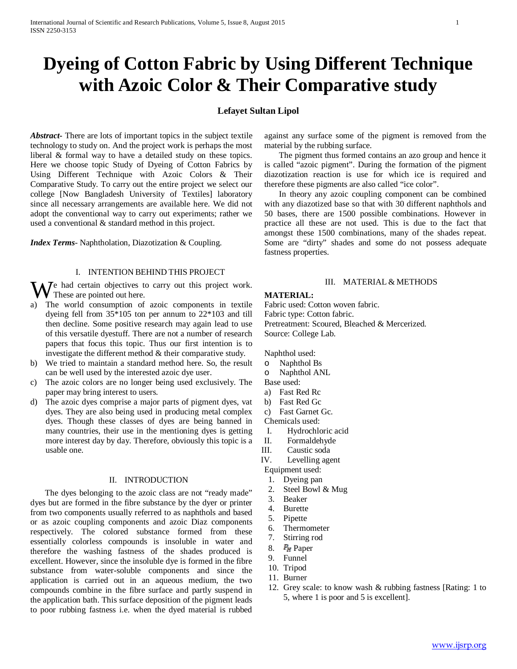# **Dyeing of Cotton Fabric by Using Different Technique with Azoic Color & Their Comparative study**

# **Lefayet Sultan Lipol**

*Abstract***-** There are lots of important topics in the subject textile technology to study on. And the project work is perhaps the most liberal & formal way to have a detailed study on these topics. Here we choose topic Study of Dyeing of Cotton Fabrics by Using Different Technique with Azoic Colors & Their Comparative Study. To carry out the entire project we select our college [Now Bangladesh University of Textiles] laboratory since all necessary arrangements are available here. We did not adopt the conventional way to carry out experiments; rather we used a conventional & standard method in this project.

*Index Terms*- Naphtholation, Diazotization & Coupling.

### I. INTENTION BEHIND THIS PROJECT

e had certain objectives to carry out this project work. We had certain objectives the These are pointed out here.

- a) The world consumption of azoic components in textile dyeing fell from 35\*105 ton per annum to 22\*103 and till then decline. Some positive research may again lead to use of this versatile dyestuff. There are not a number of research papers that focus this topic. Thus our first intention is to investigate the different method & their comparative study.
- b) We tried to maintain a standard method here. So, the result can be well used by the interested azoic dye user.
- c) The azoic colors are no longer being used exclusively. The paper may bring interest to users.
- d) The azoic dyes comprise a major parts of pigment dyes, vat dyes. They are also being used in producing metal complex dyes. Though these classes of dyes are being banned in many countries, their use in the mentioning dyes is getting more interest day by day. Therefore, obviously this topic is a usable one.

#### II. INTRODUCTION

 The dyes belonging to the azoic class are not "ready made" dyes but are formed in the fibre substance by the dyer or printer from two components usually referred to as naphthols and based or as azoic coupling components and azoic Diaz components respectively. The colored substance formed from these essentially colorless compounds is insoluble in water and therefore the washing fastness of the shades produced is excellent. However, since the insoluble dye is formed in the fibre substance from water-soluble components and since the application is carried out in an aqueous medium, the two compounds combine in the fibre surface and partly suspend in the application bath. This surface deposition of the pigment leads to poor rubbing fastness i.e. when the dyed material is rubbed against any surface some of the pigment is removed from the material by the rubbing surface.

 The pigment thus formed contains an azo group and hence it is called "azoic pigment". During the formation of the pigment diazotization reaction is use for which ice is required and therefore these pigments are also called "ice color".

 In theory any azoic coupling component can be combined with any diazotized base so that with 30 different naphthols and 50 bases, there are 1500 possible combinations. However in practice all these are not used. This is due to the fact that amongst these 1500 combinations, many of the shades repeat. Some are "dirty" shades and some do not possess adequate fastness properties.

### III. MATERIAL & METHODS

#### **MATERIAL:**

Fabric used: Cotton woven fabric. Fabric type: Cotton fabric. Pretreatment: Scoured, Bleached & Mercerized. Source: College Lab.

Naphthol used:

- o Naphthol Bs
- o Naphthol ANL
- Base used:
- a) Fast Red Rc
- b) Fast Red Gc
- c) Fast Garnet Gc.

Chemicals used:

- I. Hydrochloric acid
- II. Formaldehyde
- III. Caustic soda

IV. Levelling agent

- Equipment used:
- 1. Dyeing pan
- 2. Steel Bowl & Mug
- 3. Beaker
- 4. Burette
- 5. Pipette
- 6. Thermometer
- 7. Stirring rod
- 8.  $P_{\text{HT}}$  Paper
- 9. Funnel
- 10. Tripod
- 11. Burner
- 12. Grey scale: to know wash & rubbing fastness [Rating: 1 to 5, where 1 is poor and 5 is excellent].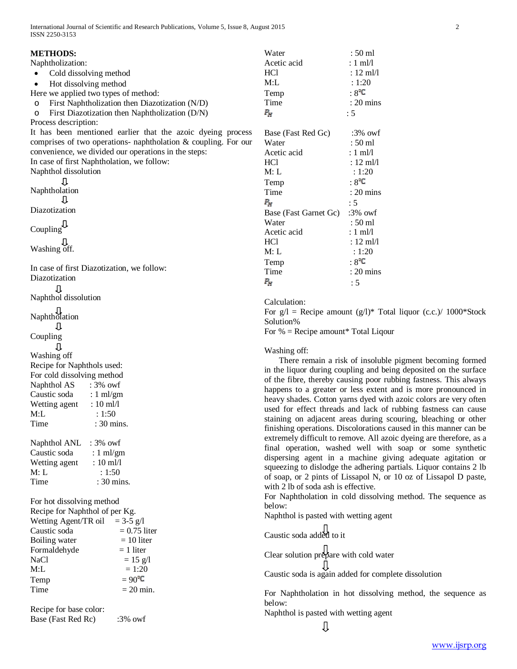|                                                         | <b>METHODS:</b>                                                | Water                                                               | $:50 \text{ ml}$                                                  |
|---------------------------------------------------------|----------------------------------------------------------------|---------------------------------------------------------------------|-------------------------------------------------------------------|
|                                                         | Naphtholization:                                               | Acetic acid                                                         | $: 1 \text{ ml/l}$                                                |
|                                                         | Cold dissolving method<br>$\bullet$                            | HCl                                                                 | $: 12 \text{ ml/l}$                                               |
|                                                         | Hot dissolving method<br>٠                                     | M:L                                                                 | : 1:20                                                            |
|                                                         | Here we applied two types of method:                           | Temp                                                                | $:8^{\circ}C$                                                     |
|                                                         | First Naphtholization then Diazotization (N/D)                 | Time                                                                | $: 20 \text{ mins}$                                               |
|                                                         | $\circ$                                                        |                                                                     |                                                                   |
|                                                         | First Diazotization then Naphtholization (D/N)<br>$\circ$      | $P_{\!H}$                                                           | : 5                                                               |
|                                                         | Process description:                                           |                                                                     |                                                                   |
|                                                         | It has been mentioned earlier that the azoic dyeing process    | Base (Fast Red Gc)                                                  | $:3\%$ owf                                                        |
|                                                         | comprises of two operations- naphtholation & coupling. For our | Water                                                               | $:50$ ml                                                          |
|                                                         | convenience, we divided our operations in the steps:           | Acetic acid                                                         | $: 1 \text{ ml/l}$                                                |
|                                                         | In case of first Naphtholation, we follow:                     | HCl                                                                 | $: 12 \text{ ml}/1$                                               |
|                                                         | Naphthol dissolution                                           | M: L                                                                | : 1:20                                                            |
|                                                         | ⇩                                                              | Temp                                                                | $:8^{\circ}C$                                                     |
|                                                         | Naphtholation                                                  | Time                                                                | $: 20 \text{ mins}$                                               |
|                                                         | 1Ť.                                                            | $P_{\rm eff}$                                                       | : 5                                                               |
|                                                         | Diazotization                                                  | Base (Fast Garnet Gc)                                               | $:3\%$ owf                                                        |
|                                                         |                                                                | Water                                                               | $:50 \text{ ml}$                                                  |
|                                                         | Coupling $\mathbb{Q}$                                          | Acetic acid                                                         | $: 1 \text{ ml/l}$                                                |
|                                                         |                                                                | HCl                                                                 | $: 12 \text{ ml}/1$                                               |
|                                                         | Washing off.                                                   | M: L                                                                | : 1:20                                                            |
|                                                         |                                                                | Temp                                                                | $:8^{\circ}$ C                                                    |
|                                                         | In case of first Diazotization, we follow:                     | Time                                                                | $: 20 \text{ mins}$                                               |
|                                                         | Diazotization                                                  | $P_{\rm ff}$                                                        | : 5                                                               |
|                                                         | ⇩                                                              |                                                                     |                                                                   |
|                                                         | Naphthol dissolution                                           | Calculation:                                                        |                                                                   |
|                                                         |                                                                | For $g/l$ = Recipe amount $(g/l)^*$ Total liquor (c.c.)/ 1000*Stock |                                                                   |
| []<br>Naphtholation                                     |                                                                | Solution%                                                           |                                                                   |
| ⇩                                                       |                                                                | For $%$ = Recipe amount* Total Liqour                               |                                                                   |
|                                                         | Coupling                                                       |                                                                     |                                                                   |
| ⇩                                                       |                                                                |                                                                     |                                                                   |
|                                                         | Washing off                                                    | Washing off:                                                        |                                                                   |
|                                                         | Recipe for Naphthols used:                                     |                                                                     | There remain a risk of insoluble pigment becoming formed          |
|                                                         | For cold dissolving method                                     | in the liquor during coupling and being deposited on the surface    |                                                                   |
|                                                         | $:3\%$ owf<br>Naphthol AS                                      | of the fibre, thereby causing poor rubbing fastness. This always    |                                                                   |
|                                                         | Caustic soda<br>$: 1 \text{ ml/gm}$                            | happens to a greater or less extent and is more pronounced in       |                                                                   |
|                                                         | $: 10 \text{ ml/l}$<br>Wetting agent                           | heavy shades. Cotton yarns dyed with azoic colors are very often    |                                                                   |
|                                                         | M:L<br>: 1:50                                                  | used for effect threads and lack of rubbing fastness can cause      |                                                                   |
|                                                         | Time<br>$: 30 \text{ mins}.$                                   |                                                                     | staining on adjacent areas during scouring, bleaching or other    |
|                                                         |                                                                |                                                                     | finishing operations. Discolorations caused in this manner can be |
|                                                         | Naphthol ANL : 3% owf                                          | extremely difficult to remove. All azoic dyeing are therefore, as a |                                                                   |
|                                                         | Caustic soda<br>: $1 \text{ ml/gm}$                            |                                                                     | final operation, washed well with soap or some synthetic          |
|                                                         | Wetting agent<br>$: 10 \text{ ml/l}$                           |                                                                     | dispersing agent in a machine giving adequate agitation or        |
|                                                         | M: L<br>: 1:50                                                 |                                                                     | squeezing to dislodge the adhering partials. Liquor contains 2 lb |
|                                                         | Time<br>: 30 mins.                                             |                                                                     | of soap, or 2 pints of Lissapol N, or 10 oz of Lissapol D paste,  |
|                                                         |                                                                | with 2 lb of soda ash is effective.                                 |                                                                   |
| For hot dissolving method                               |                                                                | For Naphtholation in cold dissolving method. The sequence as        |                                                                   |
| Recipe for Naphthol of per Kg.                          |                                                                | below:                                                              |                                                                   |
| Wetting Agent/TR oil = 3-5 g/l                          |                                                                | Naphthol is pasted with wetting agent                               |                                                                   |
| Caustic soda<br>$= 0.75$ liter                          |                                                                |                                                                     |                                                                   |
|                                                         | Boiling water<br>$= 10$ liter                                  | Caustic soda added to it                                            |                                                                   |
|                                                         | Formaldehyde<br>$= 1$ liter                                    |                                                                     |                                                                   |
|                                                         | NaCl<br>$= 15$ g/l                                             | Clear solution prepare with cold water                              |                                                                   |
|                                                         | M:L<br>$= 1:20$                                                |                                                                     |                                                                   |
|                                                         | $= 90^{\circ}$ C                                               |                                                                     | Caustic soda is again added for complete dissolution              |
|                                                         | Temp                                                           |                                                                     |                                                                   |
|                                                         | Time<br>$= 20$ min.                                            |                                                                     | For Naphtholation in hot dissolving method, the sequence as       |
|                                                         |                                                                | below:                                                              |                                                                   |
| Recipe for base color:<br>Base (Fast Red Rc)<br>:3% owf |                                                                | Naphthol is pasted with wetting agent                               |                                                                   |
|                                                         |                                                                |                                                                     |                                                                   |

 $\overline{\mathbb{U}}$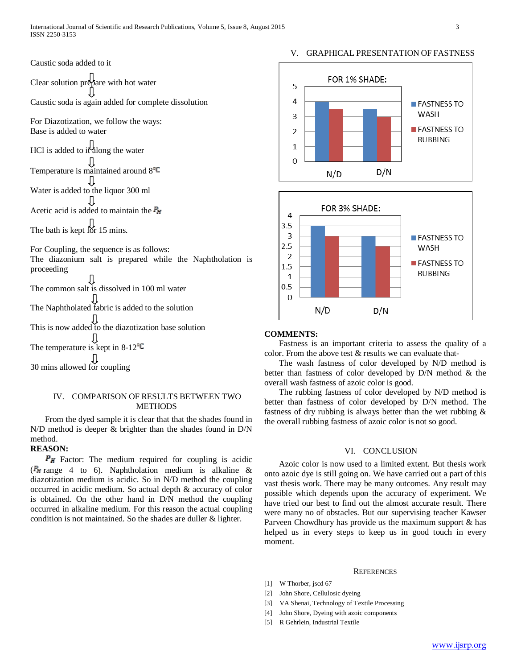# V. GRAPHICAL PRESENTATION OF FASTNESS



## IV. COMPARISON OF RESULTS BETWEEN TWO **METHODS**

 From the dyed sample it is clear that that the shades found in N/D method is deeper & brighter than the shades found in D/N method.

## **REASON:**

 $P_H$  Factor: The medium required for coupling is acidic ( $\mathbb{P}_{\mathbb{H}}$  range 4 to 6). Naphtholation medium is alkaline & diazotization medium is acidic. So in N/D method the coupling occurred in acidic medium. So actual depth & accuracy of color is obtained. On the other hand in D/N method the coupling occurred in alkaline medium. For this reason the actual coupling condition is not maintained. So the shades are duller & lighter.



#### **COMMENTS:**

 Fastness is an important criteria to assess the quality of a color. From the above test & results we can evaluate that-

 The wash fastness of color developed by N/D method is better than fastness of color developed by D/N method & the overall wash fastness of azoic color is good.

 The rubbing fastness of color developed by N/D method is better than fastness of color developed by D/N method. The fastness of dry rubbing is always better than the wet rubbing & the overall rubbing fastness of azoic color is not so good.

## VI. CONCLUSION

 Azoic color is now used to a limited extent. But thesis work onto azoic dye is still going on. We have carried out a part of this vast thesis work. There may be many outcomes. Any result may possible which depends upon the accuracy of experiment. We have tried our best to find out the almost accurate result. There were many no of obstacles. But our supervising teacher Kawser Parveen Chowdhury has provide us the maximum support & has helped us in every steps to keep us in good touch in every moment.

#### **REFERENCES**

- [1] W Thorber, jscd 67
- [2] John Shore, Cellulosic dyeing
- [3] VA Shenai, Technology of Textile Processing
- [4] John Shore, Dyeing with azoic components
- [5] R Gehrlein, Industrial Textile